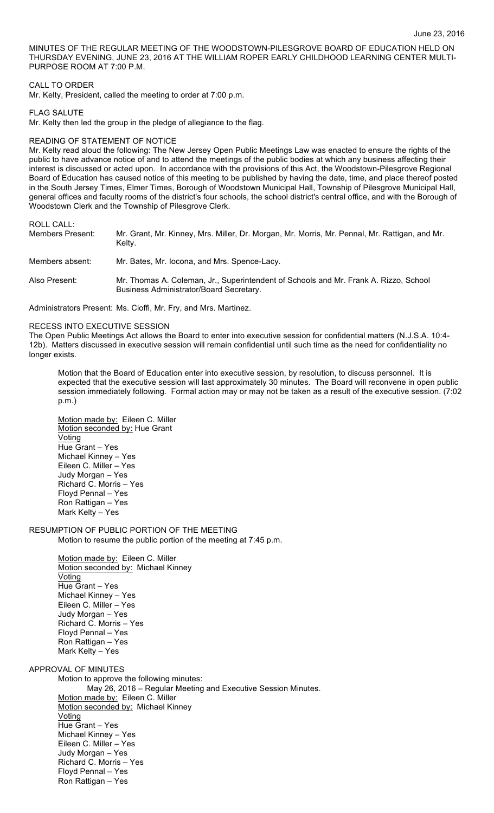MINUTES OF THE REGULAR MEETING OF THE WOODSTOWN-PILESGROVE BOARD OF EDUCATION HELD ON THURSDAY EVENING, JUNE 23, 2016 AT THE WILLIAM ROPER EARLY CHILDHOOD LEARNING CENTER MULTI-PURPOSE ROOM AT 7:00 P.M.

# CALL TO ORDER

Mr. Kelty, President, called the meeting to order at 7:00 p.m.

# FLAG SALUTE

Mr. Kelty then led the group in the pledge of allegiance to the flag.

## READING OF STATEMENT OF NOTICE

Mr. Kelty read aloud the following: The New Jersey Open Public Meetings Law was enacted to ensure the rights of the public to have advance notice of and to attend the meetings of the public bodies at which any business affecting their interest is discussed or acted upon. In accordance with the provisions of this Act, the Woodstown-Pilesgrove Regional Board of Education has caused notice of this meeting to be published by having the date, time, and place thereof posted in the South Jersey Times, Elmer Times, Borough of Woodstown Municipal Hall, Township of Pilesgrove Municipal Hall, general offices and faculty rooms of the district's four schools, the school district's central office, and with the Borough of Woodstown Clerk and the Township of Pilesgrove Clerk.

## ROLL CALL:

| <b>Members Present:</b> | Mr. Grant, Mr. Kinney, Mrs. Miller, Dr. Morgan, Mr. Morris, Mr. Pennal, Mr. Rattigan, and Mr.<br>Keltv.                         |
|-------------------------|---------------------------------------------------------------------------------------------------------------------------------|
| Members absent:         | Mr. Bates, Mr. Iocona, and Mrs. Spence-Lacy.                                                                                    |
| Also Present:           | Mr. Thomas A. Coleman, Jr., Superintendent of Schools and Mr. Frank A. Rizzo, School<br>Business Administrator/Board Secretary. |

Administrators Present: Ms. Cioffi, Mr. Fry, and Mrs. Martinez.

### RECESS INTO EXECUTIVE SESSION

The Open Public Meetings Act allows the Board to enter into executive session for confidential matters (N.J.S.A. 10:4- 12b). Matters discussed in executive session will remain confidential until such time as the need for confidentiality no longer exists.

Motion that the Board of Education enter into executive session, by resolution, to discuss personnel. It is expected that the executive session will last approximately 30 minutes. The Board will reconvene in open public session immediately following. Formal action may or may not be taken as a result of the executive session. (7:02 p.m.)

Motion made by: Eileen C. Miller Motion seconded by: Hue Grant Voting Hue Grant – Yes Michael Kinney – Yes Eileen C. Miller – Yes Judy Morgan – Yes Richard C. Morris – Yes Floyd Pennal – Yes Ron Rattigan – Yes Mark Kelty – Yes

# RESUMPTION OF PUBLIC PORTION OF THE MEETING

Motion to resume the public portion of the meeting at 7:45 p.m.

Motion made by: Eileen C. Miller Motion seconded by: Michael Kinney Voting Hue Grant – Yes Michael Kinney – Yes Eileen C. Miller – Yes Judy Morgan – Yes Richard C. Morris – Yes Floyd Pennal – Yes Ron Rattigan – Yes Mark Kelty – Yes

APPROVAL OF MINUTES

Motion to approve the following minutes: May 26, 2016 – Regular Meeting and Executive Session Minutes. Motion made by: Eileen C. Miller Motion seconded by: Michael Kinney Voting Hue Grant – Yes Michael Kinney – Yes Eileen C. Miller – Yes Judy Morgan – Yes Richard C. Morris – Yes Floyd Pennal – Yes Ron Rattigan – Yes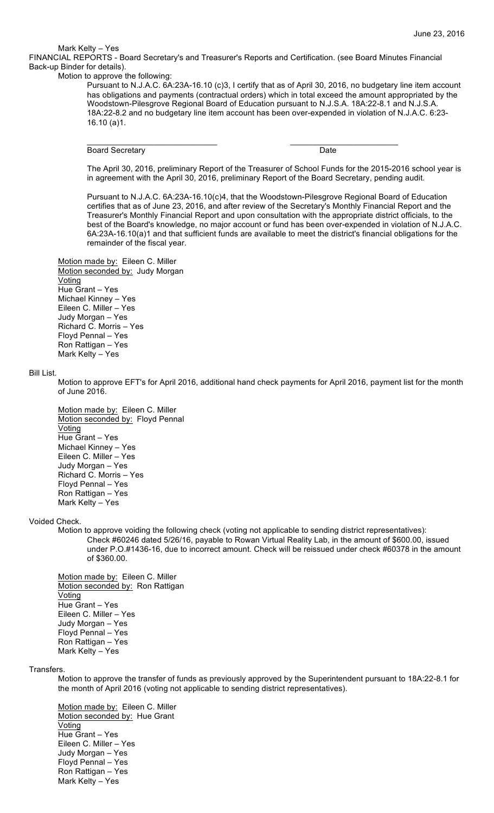Mark Kelty – Yes

FINANCIAL REPORTS - Board Secretary's and Treasurer's Reports and Certification. (see Board Minutes Financial Back-up Binder for details).

\_\_\_\_\_\_\_\_\_\_\_\_\_\_\_\_\_\_\_\_\_\_\_\_\_\_\_\_\_ \_\_\_\_\_\_\_\_\_\_\_\_\_\_\_\_\_\_\_\_\_\_\_\_

Motion to approve the following:

Pursuant to N.J.A.C. 6A:23A-16.10 (c)3, I certify that as of April 30, 2016, no budgetary line item account has obligations and payments (contractual orders) which in total exceed the amount appropriated by the Woodstown-Pilesgrove Regional Board of Education pursuant to N.J.S.A. 18A:22-8.1 and N.J.S.A. 18A:22-8.2 and no budgetary line item account has been over-expended in violation of N.J.A.C. 6:23- 16.10 (a)1.

Board Secretary Date

The April 30, 2016, preliminary Report of the Treasurer of School Funds for the 2015-2016 school year is in agreement with the April 30, 2016, preliminary Report of the Board Secretary, pending audit.

Pursuant to N.J.A.C. 6A:23A-16.10(c)4, that the Woodstown-Pilesgrove Regional Board of Education certifies that as of June 23, 2016, and after review of the Secretary's Monthly Financial Report and the Treasurer's Monthly Financial Report and upon consultation with the appropriate district officials, to the best of the Board's knowledge, no major account or fund has been over-expended in violation of N.J.A.C. 6A:23A-16.10(a)1 and that sufficient funds are available to meet the district's financial obligations for the remainder of the fiscal year.

Motion made by: Eileen C. Miller Motion seconded by: Judy Morgan Voting Hue Grant – Yes Michael Kinney – Yes Eileen C. Miller – Yes Judy Morgan – Yes Richard C. Morris – Yes Floyd Pennal – Yes Ron Rattigan – Yes Mark Kelty – Yes

Bill List.

Motion to approve EFT's for April 2016, additional hand check payments for April 2016, payment list for the month of June 2016.

Motion made by: Eileen C. Miller Motion seconded by: Floyd Pennal **Voting** Hue Grant – Yes Michael Kinney – Yes Eileen C. Miller – Yes Judy Morgan – Yes Richard C. Morris – Yes Floyd Pennal – Yes Ron Rattigan – Yes Mark Kelty – Yes

Voided Check.

Motion to approve voiding the following check (voting not applicable to sending district representatives): Check #60246 dated 5/26/16, payable to Rowan Virtual Reality Lab, in the amount of \$600.00, issued under P.O.#1436-16, due to incorrect amount. Check will be reissued under check #60378 in the amount of \$360.00.

Motion made by: Eileen C. Miller Motion seconded by: Ron Rattigan **Voting** Hue Grant – Yes Eileen C. Miller – Yes Judy Morgan – Yes Floyd Pennal – Yes Ron Rattigan – Yes Mark Kelty – Yes

Transfers.

Motion to approve the transfer of funds as previously approved by the Superintendent pursuant to 18A:22-8.1 for the month of April 2016 (voting not applicable to sending district representatives).

Motion made by: Eileen C. Miller Motion seconded by: Hue Grant Voting Hue Grant – Yes Eileen C. Miller – Yes Judy Morgan – Yes Floyd Pennal – Yes Ron Rattigan – Yes Mark Kelty – Yes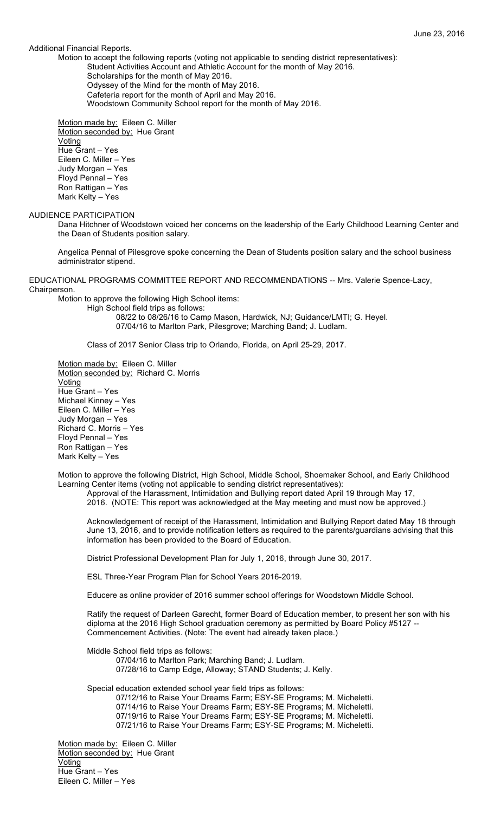# Additional Financial Reports.

Motion to accept the following reports (voting not applicable to sending district representatives): Student Activities Account and Athletic Account for the month of May 2016.

Scholarships for the month of May 2016.

Odyssey of the Mind for the month of May 2016.

Cafeteria report for the month of April and May 2016.

Woodstown Community School report for the month of May 2016.

Motion made by: Eileen C. Miller Motion seconded by: Hue Grant Voting Hue Grant – Yes Eileen C. Miller – Yes Judy Morgan – Yes Floyd Pennal – Yes Ron Rattigan – Yes Mark Kelty – Yes

# AUDIENCE PARTICIPATION

Dana Hitchner of Woodstown voiced her concerns on the leadership of the Early Childhood Learning Center and the Dean of Students position salary.

Angelica Pennal of Pilesgrove spoke concerning the Dean of Students position salary and the school business administrator stipend.

EDUCATIONAL PROGRAMS COMMITTEE REPORT AND RECOMMENDATIONS -- Mrs. Valerie Spence-Lacy, Chairperson.

Motion to approve the following High School items:

High School field trips as follows:

08/22 to 08/26/16 to Camp Mason, Hardwick, NJ; Guidance/LMTI; G. Heyel. 07/04/16 to Marlton Park, Pilesgrove; Marching Band; J. Ludlam.

Class of 2017 Senior Class trip to Orlando, Florida, on April 25-29, 2017.

Motion made by: Eileen C. Miller Motion seconded by: Richard C. Morris Voting Hue Grant – Yes Michael Kinney – Yes Eileen C. Miller – Yes Judy Morgan – Yes Richard C. Morris – Yes Floyd Pennal – Yes Ron Rattigan – Yes Mark Kelty – Yes

Motion to approve the following District, High School, Middle School, Shoemaker School, and Early Childhood Learning Center items (voting not applicable to sending district representatives):

Approval of the Harassment, Intimidation and Bullying report dated April 19 through May 17,

2016. (NOTE: This report was acknowledged at the May meeting and must now be approved.)

Acknowledgement of receipt of the Harassment, Intimidation and Bullying Report dated May 18 through June 13, 2016, and to provide notification letters as required to the parents/guardians advising that this information has been provided to the Board of Education.

District Professional Development Plan for July 1, 2016, through June 30, 2017.

ESL Three-Year Program Plan for School Years 2016-2019.

Educere as online provider of 2016 summer school offerings for Woodstown Middle School.

Ratify the request of Darleen Garecht, former Board of Education member, to present her son with his diploma at the 2016 High School graduation ceremony as permitted by Board Policy #5127 -- Commencement Activities. (Note: The event had already taken place.)

Middle School field trips as follows:

07/04/16 to Marlton Park; Marching Band; J. Ludlam. 07/28/16 to Camp Edge, Alloway; STAND Students; J. Kelly.

Special education extended school year field trips as follows:

07/12/16 to Raise Your Dreams Farm; ESY-SE Programs; M. Micheletti. 07/14/16 to Raise Your Dreams Farm; ESY-SE Programs; M. Micheletti. 07/19/16 to Raise Your Dreams Farm; ESY-SE Programs; M. Micheletti. 07/21/16 to Raise Your Dreams Farm; ESY-SE Programs; M. Micheletti.

Motion made by: Eileen C. Miller Motion seconded by: Hue Grant Voting Hue Grant – Yes Eileen C. Miller – Yes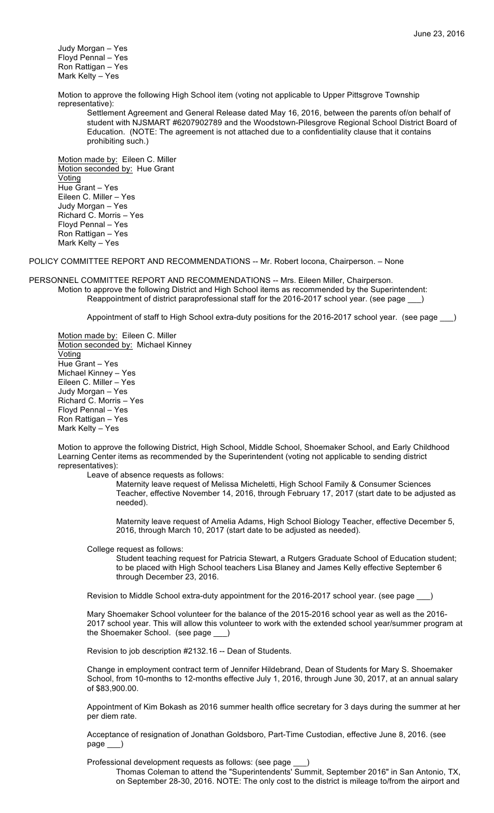Judy Morgan – Yes Floyd Pennal – Yes Ron Rattigan – Yes Mark Kelty – Yes

Motion to approve the following High School item (voting not applicable to Upper Pittsgrove Township representative):

Settlement Agreement and General Release dated May 16, 2016, between the parents of/on behalf of student with NJSMART #6207902789 and the Woodstown-Pilesgrove Regional School District Board of Education. (NOTE: The agreement is not attached due to a confidentiality clause that it contains prohibiting such.)

Motion made by: Eileen C. Miller Motion seconded by: Hue Grant **Voting** Hue Grant – Yes Eileen C. Miller – Yes Judy Morgan – Yes Richard C. Morris – Yes Floyd Pennal – Yes Ron Rattigan – Yes Mark Kelty – Yes

POLICY COMMITTEE REPORT AND RECOMMENDATIONS -- Mr. Robert Iocona, Chairperson. – None

PERSONNEL COMMITTEE REPORT AND RECOMMENDATIONS -- Mrs. Eileen Miller, Chairperson. Motion to approve the following District and High School items as recommended by the Superintendent: Reappointment of district paraprofessional staff for the 2016-2017 school year. (see page \_\_\_)

Appointment of staff to High School extra-duty positions for the 2016-2017 school year. (see page )

Motion made by: Eileen C. Miller Motion seconded by: Michael Kinney **Voting** Hue Grant – Yes Michael Kinney – Yes Eileen C. Miller – Yes Judy Morgan – Yes Richard C. Morris – Yes Floyd Pennal – Yes Ron Rattigan – Yes Mark Kelty – Yes

Motion to approve the following District, High School, Middle School, Shoemaker School, and Early Childhood Learning Center items as recommended by the Superintendent (voting not applicable to sending district representatives):

Leave of absence requests as follows:

Maternity leave request of Melissa Micheletti, High School Family & Consumer Sciences Teacher, effective November 14, 2016, through February 17, 2017 (start date to be adjusted as needed).

Maternity leave request of Amelia Adams, High School Biology Teacher, effective December 5, 2016, through March 10, 2017 (start date to be adjusted as needed).

College request as follows:

Student teaching request for Patricia Stewart, a Rutgers Graduate School of Education student; to be placed with High School teachers Lisa Blaney and James Kelly effective September 6 through December 23, 2016.

Revision to Middle School extra-duty appointment for the 2016-2017 school year. (see page \_

Mary Shoemaker School volunteer for the balance of the 2015-2016 school year as well as the 2016- 2017 school year. This will allow this volunteer to work with the extended school year/summer program at the Shoemaker School. (see page \_\_\_)

Revision to job description #2132.16 -- Dean of Students.

Change in employment contract term of Jennifer Hildebrand, Dean of Students for Mary S. Shoemaker School, from 10-months to 12-months effective July 1, 2016, through June 30, 2017, at an annual salary of \$83,900.00.

Appointment of Kim Bokash as 2016 summer health office secretary for 3 days during the summer at her per diem rate.

Acceptance of resignation of Jonathan Goldsboro, Part-Time Custodian, effective June 8, 2016. (see page \_\_\_)

Professional development requests as follows: (see page

Thomas Coleman to attend the "Superintendents' Summit, September 2016" in San Antonio, TX, on September 28-30, 2016. NOTE: The only cost to the district is mileage to/from the airport and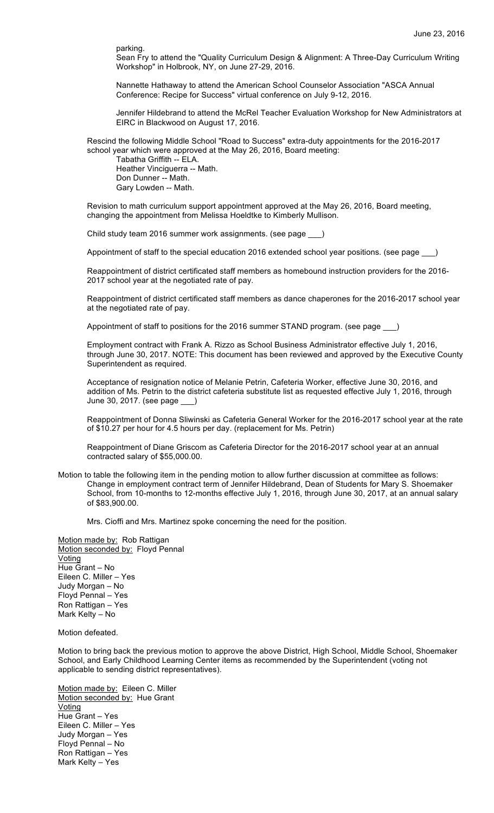parking.

Sean Fry to attend the "Quality Curriculum Design & Alignment: A Three-Day Curriculum Writing Workshop" in Holbrook, NY, on June 27-29, 2016.

Nannette Hathaway to attend the American School Counselor Association "ASCA Annual Conference: Recipe for Success" virtual conference on July 9-12, 2016.

Jennifer Hildebrand to attend the McRel Teacher Evaluation Workshop for New Administrators at EIRC in Blackwood on August 17, 2016.

Rescind the following Middle School "Road to Success" extra-duty appointments for the 2016-2017 school year which were approved at the May 26, 2016, Board meeting:

Tabatha Griffith -- ELA. Heather Vinciguerra -- Math. Don Dunner -- Math. Gary Lowden -- Math.

Revision to math curriculum support appointment approved at the May 26, 2016, Board meeting, changing the appointment from Melissa Hoeldtke to Kimberly Mullison.

Child study team 2016 summer work assignments. (see page \_\_\_)

Appointment of staff to the special education 2016 extended school year positions. (see page

Reappointment of district certificated staff members as homebound instruction providers for the 2016- 2017 school year at the negotiated rate of pay.

Reappointment of district certificated staff members as dance chaperones for the 2016-2017 school year at the negotiated rate of pay.

Appointment of staff to positions for the 2016 summer STAND program. (see page )

Employment contract with Frank A. Rizzo as School Business Administrator effective July 1, 2016, through June 30, 2017. NOTE: This document has been reviewed and approved by the Executive County Superintendent as required.

Acceptance of resignation notice of Melanie Petrin, Cafeteria Worker, effective June 30, 2016, and addition of Ms. Petrin to the district cafeteria substitute list as requested effective July 1, 2016, through June 30, 2017. (see page \_\_\_)

Reappointment of Donna Sliwinski as Cafeteria General Worker for the 2016-2017 school year at the rate of \$10.27 per hour for 4.5 hours per day. (replacement for Ms. Petrin)

Reappointment of Diane Griscom as Cafeteria Director for the 2016-2017 school year at an annual contracted salary of \$55,000.00.

Motion to table the following item in the pending motion to allow further discussion at committee as follows: Change in employment contract term of Jennifer Hildebrand, Dean of Students for Mary S. Shoemaker School, from 10-months to 12-months effective July 1, 2016, through June 30, 2017, at an annual salary of \$83,900.00.

Mrs. Cioffi and Mrs. Martinez spoke concerning the need for the position.

Motion made by: Rob Rattigan Motion seconded by: Floyd Pennal Voting Hue Grant – No Eileen C. Miller – Yes Judy Morgan – No Floyd Pennal – Yes Ron Rattigan – Yes Mark Kelty – No

Motion defeated.

Motion to bring back the previous motion to approve the above District, High School, Middle School, Shoemaker School, and Early Childhood Learning Center items as recommended by the Superintendent (voting not applicable to sending district representatives).

Motion made by: Eileen C. Miller Motion seconded by: Hue Grant **Voting** Hue Grant – Yes Eileen C. Miller – Yes Judy Morgan – Yes Floyd Pennal – No Ron Rattigan – Yes Mark Kelty – Yes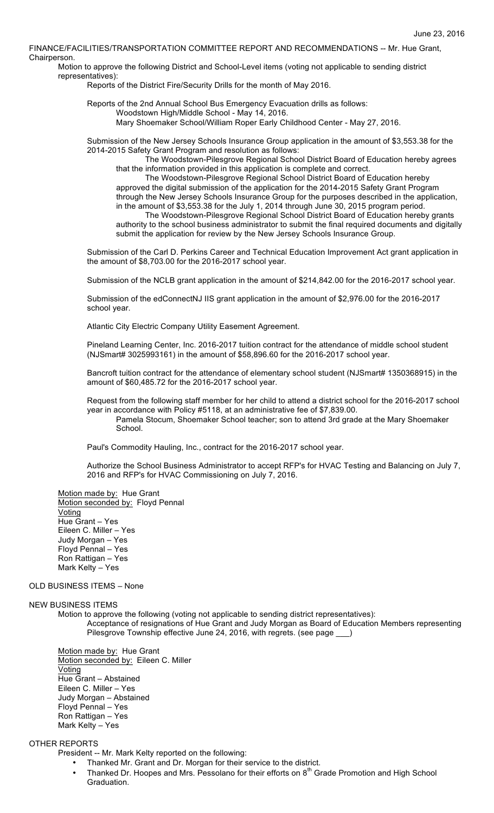FINANCE/FACILITIES/TRANSPORTATION COMMITTEE REPORT AND RECOMMENDATIONS -- Mr. Hue Grant, Chairperson.

Motion to approve the following District and School-Level items (voting not applicable to sending district representatives):

Reports of the District Fire/Security Drills for the month of May 2016.

Reports of the 2nd Annual School Bus Emergency Evacuation drills as follows: Woodstown High/Middle School - May 14, 2016. Mary Shoemaker School/William Roper Early Childhood Center - May 27, 2016.

Submission of the New Jersey Schools Insurance Group application in the amount of \$3,553.38 for the 2014-2015 Safety Grant Program and resolution as follows:

The Woodstown-Pilesgrove Regional School District Board of Education hereby agrees that the information provided in this application is complete and correct.

The Woodstown-Pilesgrove Regional School District Board of Education hereby approved the digital submission of the application for the 2014-2015 Safety Grant Program through the New Jersey Schools Insurance Group for the purposes described in the application, in the amount of \$3,553.38 for the July 1, 2014 through June 30, 2015 program period. The Woodstown-Pilesgrove Regional School District Board of Education hereby grants authority to the school business administrator to submit the final required documents and digitally submit the application for review by the New Jersey Schools Insurance Group.

Submission of the Carl D. Perkins Career and Technical Education Improvement Act grant application in the amount of \$8,703.00 for the 2016-2017 school year.

Submission of the NCLB grant application in the amount of \$214,842.00 for the 2016-2017 school year.

Submission of the edConnectNJ IIS grant application in the amount of \$2,976.00 for the 2016-2017 school year.

Atlantic City Electric Company Utility Easement Agreement.

Pineland Learning Center, Inc. 2016-2017 tuition contract for the attendance of middle school student (NJSmart# 3025993161) in the amount of \$58,896.60 for the 2016-2017 school year.

Bancroft tuition contract for the attendance of elementary school student (NJSmart# 1350368915) in the amount of \$60,485.72 for the 2016-2017 school year.

Request from the following staff member for her child to attend a district school for the 2016-2017 school year in accordance with Policy #5118, at an administrative fee of \$7,839.00.

Pamela Stocum, Shoemaker School teacher; son to attend 3rd grade at the Mary Shoemaker School.

Paul's Commodity Hauling, Inc., contract for the 2016-2017 school year.

Authorize the School Business Administrator to accept RFP's for HVAC Testing and Balancing on July 7, 2016 and RFP's for HVAC Commissioning on July 7, 2016.

Motion made by: Hue Grant Motion seconded by: Floyd Pennal Voting Hue Grant – Yes Eileen C. Miller – Yes Judy Morgan – Yes Floyd Pennal – Yes Ron Rattigan – Yes Mark Kelty – Yes

# OLD BUSINESS ITEMS – None

### NEW BUSINESS ITEMS

Motion to approve the following (voting not applicable to sending district representatives): Acceptance of resignations of Hue Grant and Judy Morgan as Board of Education Members representing Pilesgrove Township effective June 24, 2016, with regrets. (see page \_

Motion made by: Hue Grant Motion seconded by: Eileen C. Miller **Voting** Hue Grant – Abstained Eileen C. Miller – Yes Judy Morgan – Abstained Floyd Pennal – Yes Ron Rattigan – Yes Mark Kelty – Yes

# OTHER REPORTS

President -- Mr. Mark Kelty reported on the following:

- Thanked Mr. Grant and Dr. Morgan for their service to the district.
- Thanked Dr. Hoopes and Mrs. Pessolano for their efforts on 8<sup>th</sup> Grade Promotion and High School Graduation.